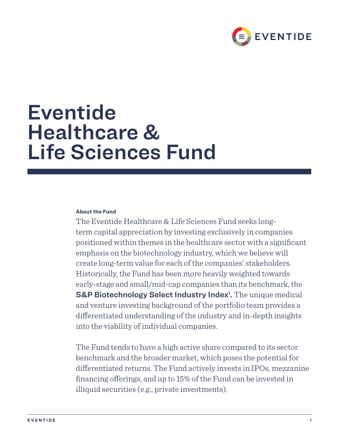

# Eventide Healthcare & Life Sciences Fund

## **About the Fund**

The Eventide Healthcare & Life Sciences Fund seeks longterm capital appreciation by investing exclusively in companies positioned within themes in the healthcare sector with a significant emphasis on the biotechnology industry, which we believe will create long-term value for each of the companies' stakeholders. Historically, the Fund has been more heavily weighted towards early-stage and small/mid-cap companies than its benchmark, the S&P Biotechnology Select Industry Index<sup>1</sup>. The unique medical and venture investing background of the portfolio team provides a differentiated understanding of the industry and in-depth insights into the viability of individual companies.

The Fund tends to have a high active share compared to its sector benchmark and the broader market, which poses the potential for differentiated returns. The Fund actively invests in IPOs, mezzanine financing offerings, and up to 15% of the Fund can be invested in illiquid securities (e.g., private investments).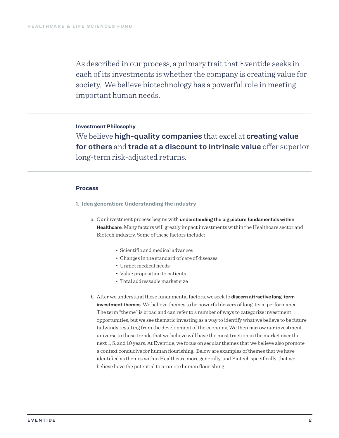As described in our process, a primary trait that Eventide seeks in each of its investments is whether the company is creating value for society. We believe biotechnology has a powerful role in meeting important human needs.

## **Investment Philosophy**

We believe high-quality companies that excel at creating value for others and trade at a discount to intrinsic value offer superior long-term risk-adjusted returns.

#### **Process**

- **1. Idea generation: Understanding the industry**
	- a. Our investment process begins with understanding the big picture fundamentals within Healthcare. Many factors will greatly impact investments within the Healthcare sector and Biotech industry. Some of these factors include:
		- Scientific and medical advances
		- Changes in the standard of care of diseases
		- Unmet medical needs
		- Value proposition to patients
		- Total addressable market size
	- b. After we understand these fundamental factors, we seek to discern attractive long-term investment themes. We believe themes to be powerful drivers of long-term performance. The term "theme" is broad and can refer to a number of ways to categorize investment opportunities, but we see thematic investing as a way to identify what we believe to be future tailwinds resulting from the development of the economy. We then narrow our investment universe to those trends that we believe will have the most traction in the market over the next 1, 5, and 10 years. At Eventide, we focus on secular themes that we believe also promote a context conducive for human flourishing. Below are examples of themes that we have identified as themes within Healthcare more generally, and Biotech specifically, that we believe have the potential to promote human flourishing.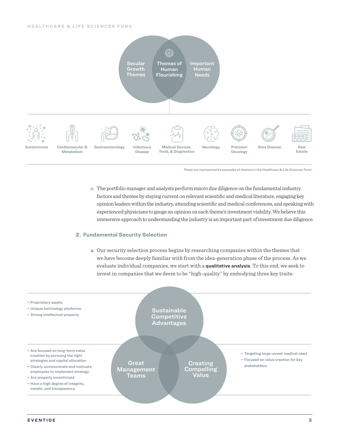#### **HEALTHCARE & LIFE SCIENCES FUND**



*These are representative examples of themes in the Healthcare & Life Sciences Fund*

c. The portfolio manager and analysts perform macro due diligence on the fundamental industry factors and themes by staying current on relevant scientific and medical literature, engaging key opinion leaders within the industry, attending scientific and medical conferences, and speaking with experienced physicians to gauge an opinion on each theme's investment viability. We believe this immersive approach to understanding the industry is an important part of investment due diligence.

#### **2. Fundamental Security Selection**

a. Our security selection process begins by researching companies within the themes that we have become deeply familiar with from the idea-generation phase of the process. As we evaluate individual companies, we start with a qualitative analysis. To this end, we seek to invest in companies that we deem to be "high-quality" by embodying three key traits:

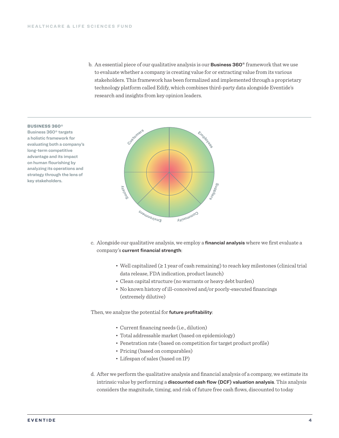b. An essential piece of our qualitative analysis is our **Business 360**<sup>®</sup> framework that we use to evaluate whether a company is creating value for or extracting value from its various stakeholders. This framework has been formalized and implemented through a proprietary technology platform called Edify, which combines third-party data alongside Eventide's research and insights from key opinion leaders.



Business 360® targets a holistic framework for evaluating both a company's long-term competitive advantage and its impact on human flourishing by analyzing its operations and strategy through the lens of key stakeholders.



- c. Alongside our qualitative analysis, we employ a financial analysis where we first evaluate a company's current financial strength:
	- Well capitalized (≥ 1 year of cash remaining) to reach key milestones (clinical trial data release, FDA indication, product launch)
	- Clean capital structure (no warrants or heavy debt burden)
	- No known history of ill-conceived and/or poorly-executed financings (extremely dilutive)

Then, we analyze the potential for future profitability:

- Current financing needs (i.e., dilution)
- Total addressable market (based on epidemiology)
- Penetration rate (based on competition for target product profile)
- Pricing (based on comparables)
- Lifespan of sales (based on IP)
- d. After we perform the qualitative analysis and financial analysis of a company, we estimate its intrinsic value by performing a discounted cash flow (DCF) valuation analysis. This analysis considers the magnitude, timing, and risk of future free cash flows, discounted to today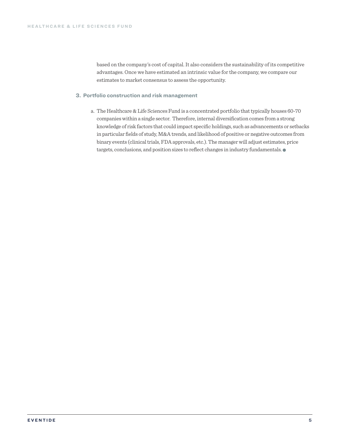based on the company's cost of capital. It also considers the sustainability of its competitive advantages. Once we have estimated an intrinsic value for the company, we compare our estimates to market consensus to assess the opportunity.

### **3. Portfolio construction and risk management**

a. The Healthcare & Life Sciences Fund is a concentrated portfolio that typically houses 60-70 companies within a single sector. Therefore, internal diversification comes from a strong knowledge of risk factors that could impact specific holdings, such as advancements or setbacks in particular fields of study, M&A trends, and likelihood of positive or negative outcomes from binary events (clinical trials, FDA approvals, etc.). The manager will adjust estimates, price targets, conclusions, and position sizes to reflect changes in industry fundamentals.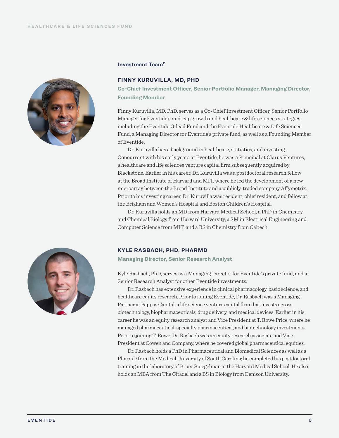

#### **Investment Team2**

### **FINNY KURUVILLA, MD, PHD**

**Co-Chief Investment Officer, Senior Portfolio Manager, Managing Director, Founding Member**

Finny Kuruvilla, MD, PhD, serves as a Co-Chief Investment Officer, Senior Portfolio Manager for Eventide's mid-cap growth and healthcare & life sciences strategies, including the Eventide Gilead Fund and the Eventide Healthcare & Life Sciences Fund, a Managing Director for Eventide's private fund, as well as a Founding Member of Eventide.

Dr. Kuruvilla has a background in healthcare, statistics, and investing. Concurrent with his early years at Eventide, he was a Principal at Clarus Ventures, a healthcare and life sciences venture capital firm subsequently acquired by Blackstone. Earlier in his career, Dr. Kuruvilla was a postdoctoral research fellow at the Broad Institute of Harvard and MIT, where he led the development of a new microarray between the Broad Institute and a publicly-traded company Affymetrix. Prior to his investing career, Dr. Kuruvilla was resident, chief resident, and fellow at the Brigham and Women's Hospital and Boston Children's Hospital.

Dr. Kuruvilla holds an MD from Harvard Medical School, a PhD in Chemistry and Chemical Biology from Harvard University, a SM in Electrical Engineering and Computer Science from MIT, and a BS in Chemistry from Caltech.



#### **KYLE RASBACH, PHD, PHARMD**

**Managing Director, Senior Research Analyst**

Kyle Rasbach, PhD, serves as a Managing Director for Eventide's private fund, and a Senior Research Analyst for other Eventide investments.

Dr. Rasbach has extensive experience in clinical pharmacology, basic science, and healthcare equity research. Prior to joining Eventide, Dr. Rasbach was a Managing Partner at Pappas Capital, a life science venture capital firm that invests across biotechnology, biopharmaceuticals, drug delivery, and medical devices. Earlier in his career he was an equity research analyst and Vice President at T. Rowe Price, where he managed pharmaceutical, specialty pharmaceutical, and biotechnology investments. Prior to joining T. Rowe, Dr. Rasbach was an equity research associate and Vice President at Cowen and Company, where he covered global pharmaceutical equities.

Dr. Rasbach holds a PhD in Pharmaceutical and Biomedical Sciences as well as a PharmD from the Medical University of South Carolina; he completed his postdoctoral training in the laboratory of Bruce Spiegelman at the Harvard Medical School. He also holds an MBA from The Citadel and a BS in Biology from Denison University.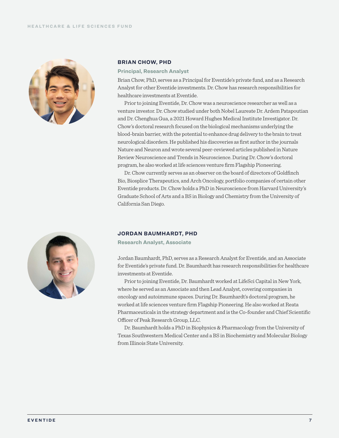

#### **BRIAN CHOW, PHD**

**Principal, Research Analyst** 

Brian Chow, PhD, serves as a Principal for Eventide's private fund, and as a Research Analyst for other Eventide investments. Dr. Chow has research responsibilities for healthcare investments at Eventide.

Prior to joining Eventide, Dr. Chow was a neuroscience researcher as well as a venture investor. Dr. Chow studied under both Nobel Laureate Dr. Ardem Patapoutian and Dr. Chenghua Gua, a 2021 Howard Hughes Medical Institute Investigator. Dr. Chow's doctoral research focused on the biological mechanisms underlying the blood-brain barrier, with the potential to enhance drug delivery to the brain to treat neurological disorders. He published his discoveries as first author in the journals Nature and Neuron and wrote several peer-reviewed articles published in Nature Review Neuroscience and Trends in Neuroscience. During Dr. Chow's doctoral program, he also worked at life sciences venture firm Flagship Pioneering.

Dr. Chow currently serves as an observer on the board of directors of Goldfinch Bio, Biosplice Therapeutics, and Arch Oncology, portfolio companies of certain other Eventide products. Dr. Chow holds a PhD in Neuroscience from Harvard University's Graduate School of Arts and a BS in Biology and Chemistry from the University of California San Diego.



## **JORDAN BAUMHARDT, PHD**

**Research Analyst, Associate** 

Jordan Baumhardt, PhD, serves as a Research Analyst for Eventide, and an Associate for Eventide's private fund. Dr. Baumhardt has research responsibilities for healthcare investments at Eventide.

Prior to joining Eventide, Dr. Baumhardt worked at LifeSci Capital in New York, where he served as an Associate and then Lead Analyst, covering companies in oncology and autoimmune spaces. During Dr. Baumhardt's doctoral program, he worked at life sciences venture firm Flagship Pioneering. He also worked at Reata Pharmaceuticals in the strategy department and is the Co-founder and Chief Scientific Officer of Peak Research Group, LLC.

Dr. Baumhardt holds a PhD in Biophysics & Pharmacology from the University of Texas Southwestern Medical Center and a BS in Biochemistry and Molecular Biology from Illinois State University.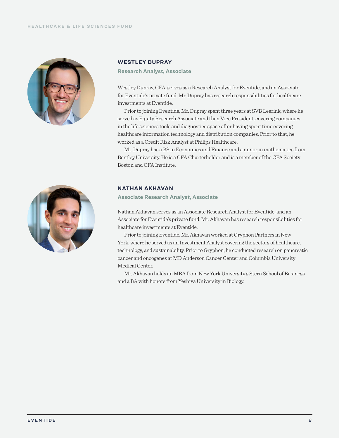

#### **WESTLEY DUPRAY**

**Research Analyst, Associate** 

Westley Dupray, CFA, serves as a Research Analyst for Eventide, and an Associate for Eventide's private fund. Mr. Dupray has research responsibilities for healthcare investments at Eventide.

Prior to joining Eventide, Mr. Dupray spent three years at SVB Leerink, where he served as Equity Research Associate and then Vice President, covering companies in the life sciences tools and diagnostics space after having spent time covering healthcare information technology and distribution companies. Prior to that, he worked as a Credit Risk Analyst at Philips Healthcare.

Mr. Dupray has a BS in Economics and Finance and a minor in mathematics from Bentley University. He is a CFA Charterholder and is a member of the CFA Society Boston and CFA Institute.



## **NATHAN AKHAVAN**

**Associate Research Analyst, Associate** 

Nathan Akhavan serves as an Associate Research Analyst for Eventide, and an Associate for Eventide's private fund. Mr. Akhavan has research responsibilities for healthcare investments at Eventide.

Prior to joining Eventide, Mr. Akhavan worked at Gryphon Partners in New York, where he served as an Investment Analyst covering the sectors of healthcare, technology, and sustainability. Prior to Gryphon, he conducted research on pancreatic cancer and oncogenes at MD Anderson Cancer Center and Columbia University Medical Center.

Mr. Akhavan holds an MBA from New York University's Stern School of Business and a BA with honors from Yeshiva University in Biology.